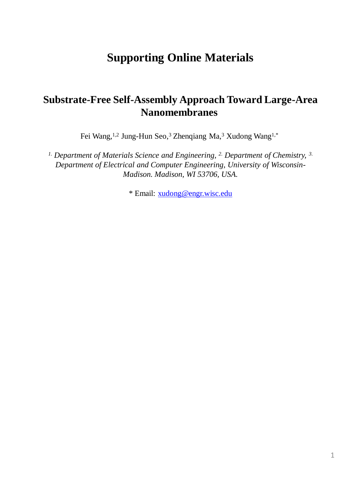## **Supporting Online Materials**

## **Substrate-Free Self-Assembly Approach Toward Large-Area Nanomembranes**

Fei Wang,<sup>1,2</sup> Jung-Hun Seo,<sup>3</sup> Zhenqiang Ma,<sup>3</sup> Xudong Wang<sup>1,\*</sup>

*1. Department of Materials Science and Engineering, 2. Department of Chemistry, 3. Department of Electrical and Computer Engineering, University of Wisconsin-Madison. Madison, WI 53706, USA.* 

\* Email: [xudong@engr.wisc.edu](mailto:xudong@engr.wisc.edu)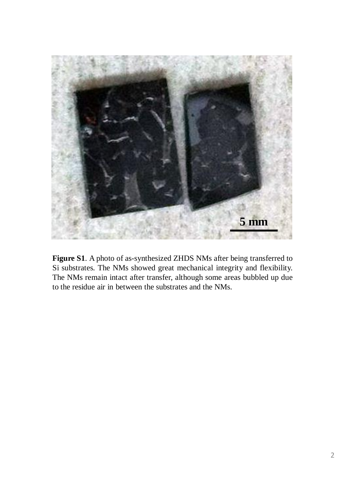

**Figure S1**. A photo of as-synthesized ZHDS NMs after being transferred to Si substrates. The NMs showed great mechanical integrity and flexibility. The NMs remain intact after transfer, although some areas bubbled up due to the residue air in between the substrates and the NMs.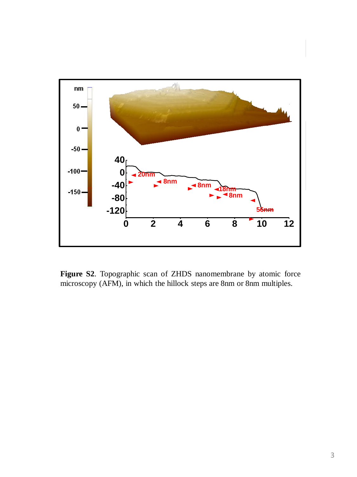

**Figure S2**. Topographic scan of ZHDS nanomembrane by atomic force microscopy (AFM), in which the hillock steps are 8nm or 8nm multiples.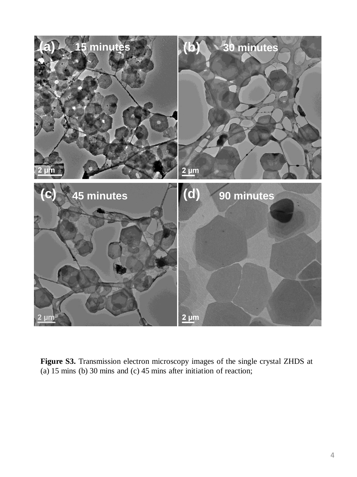

**Figure S3.** Transmission electron microscopy images of the single crystal ZHDS at (a) 15 mins (b) 30 mins and (c) 45 mins after initiation of reaction;